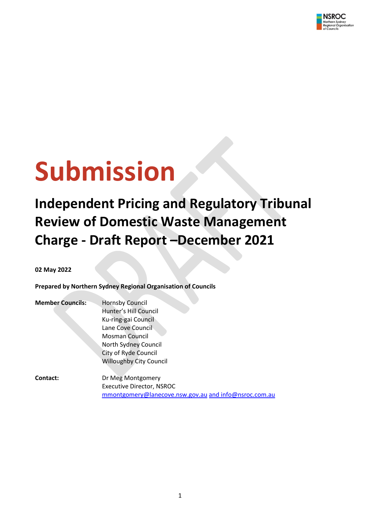

# **Submission**

**Independent Pricing and Regulatory Tribunal Review of Domestic Waste Management Charge - Draft Report –December 2021** 

**02 May 2022**

**Prepared by Northern Sydney Regional Organisation of Councils**

| <b>Member Councils:</b> | <b>Hornsby Council</b>           |
|-------------------------|----------------------------------|
|                         | Hunter's Hill Council            |
|                         | Ku-ring-gai Council              |
|                         | Lane Cove Council                |
|                         | <b>Mosman Council</b>            |
|                         | North Sydney Council             |
|                         | City of Ryde Council             |
|                         | <b>Willoughby City Council</b>   |
| <b>Contact:</b>         | Dr Meg Montgomery                |
|                         | <b>Executive Director, NSROC</b> |

[mmontgomery@lanecove.nsw.gov.au](mailto:mmontgomery@lanecove.nsw.gov.au) and info@nsroc.com.au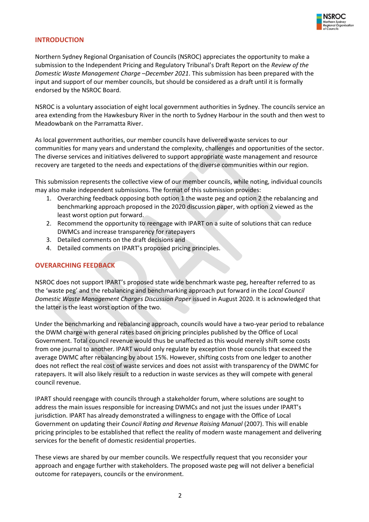

## **INTRODUCTION**

Northern Sydney Regional Organisation of Councils (NSROC) appreciates the opportunity to make a submission to the Independent Pricing and Regulatory Tribunal's Draft Report on the *Review of the Domestic Waste Management Charge –December 2021*. This submission has been prepared with the input and support of our member councils, but should be considered as a draft until it is formally endorsed by the NSROC Board.

NSROC is a voluntary association of eight local government authorities in Sydney. The councils service an area extending from the Hawkesbury River in the north to Sydney Harbour in the south and then west to Meadowbank on the Parramatta River.

As local government authorities, our member councils have delivered waste services to our communities for many years and understand the complexity, challenges and opportunities of the sector. The diverse services and initiatives delivered to support appropriate waste management and resource recovery are targeted to the needs and expectations of the diverse communities within our region.

This submission represents the collective view of our member councils, while noting, individual councils may also make independent submissions. The format of this submission provides:

- 1. Overarching feedback opposing both option 1 the waste peg and option 2 the rebalancing and benchmarking approach proposed in the 2020 discussion paper, with option 2 viewed as the least worst option put forward.
- 2. Recommend the opportunity to reengage with IPART on a suite of solutions that can reduce DWMCs and increase transparency for ratepayers
- 3. Detailed comments on the draft decisions and
- 4. Detailed comments on IPART's proposed pricing principles.

#### **OVERARCHING FEEDBACK**

NSROC does not support IPART's proposed state wide benchmark waste peg, hereafter referred to as the 'waste peg' and the rebalancing and benchmarking approach put forward in the *Local Council Domestic Waste Management Charges Discussion Paper* issued in August 2020. It is acknowledged that the latter is the least worst option of the two.

Under the benchmarking and rebalancing approach, councils would have a two-year period to rebalance the DWM charge with general rates based on pricing principles published by the Office of Local Government. Total council revenue would thus be unaffected as this would merely shift some costs from one journal to another. IPART would only regulate by exception those councils that exceed the average DWMC after rebalancing by about 15%. However, shifting costs from one ledger to another does not reflect the real cost of waste services and does not assist with transparency of the DWMC for ratepayers. It will also likely result to a reduction in waste services as they will compete with general council revenue.

IPART should reengage with councils through a stakeholder forum, where solutions are sought to address the main issues responsible for increasing DWMCs and not just the issues under IPART's jurisdiction. IPART has already demonstrated a willingness to engage with the Office of Local Government on updating their *Council Rating and Revenue Raising Manual* (2007). This will enable pricing principles to be established that reflect the reality of modern waste management and delivering services for the benefit of domestic residential properties.

These views are shared by our member councils. We respectfully request that you reconsider your approach and engage further with stakeholders. The proposed waste peg will not deliver a beneficial outcome for ratepayers, councils or the environment.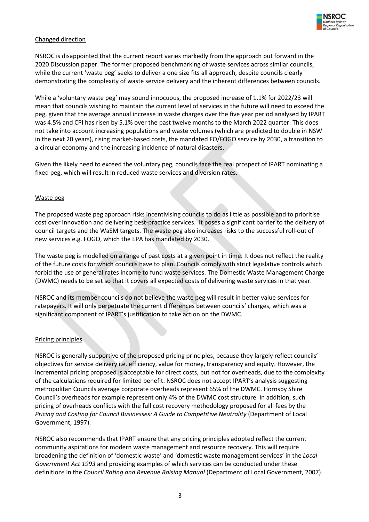

## Changed direction

NSROC is disappointed that the current report varies markedly from the approach put forward in the 2020 Discussion paper. The former proposed benchmarking of waste services across similar councils, while the current 'waste peg' seeks to deliver a one size fits all approach, despite councils clearly demonstrating the complexity of waste service delivery and the inherent differences between councils.

While a 'voluntary waste peg' may sound innocuous, the proposed increase of 1.1% for 2022/23 will mean that councils wishing to maintain the current level of services in the future will need to exceed the peg, given that the average annual increase in waste charges over the five year period analysed by IPART was 4.5% and CPI has risen by 5.1% over the past twelve months to the March 2022 quarter. This does not take into account increasing populations and waste volumes (which are predicted to double in NSW in the next 20 years), rising market-based costs, the mandated FO/FOGO service by 2030, a transition to a circular economy and the increasing incidence of natural disasters.

Given the likely need to exceed the voluntary peg, councils face the real prospect of IPART nominating a fixed peg, which will result in reduced waste services and diversion rates.

#### Waste peg

The proposed waste peg approach risks incentivising councils to do as little as possible and to prioritise cost over innovation and delivering best-practice services. It poses a significant barrier to the delivery of council targets and the WaSM targets. The waste peg also increases risks to the successful roll-out of new services e.g. FOGO, which the EPA has mandated by 2030.

The waste peg is modelled on a range of past costs at a given point in time. It does not reflect the reality of the future costs for which councils have to plan. Councils comply with strict legislative controls which forbid the use of general rates income to fund waste services. The Domestic Waste Management Charge (DWMC) needs to be set so that it covers all expected costs of delivering waste services in that year.

NSROC and its member councils do not believe the waste peg will result in better value services for ratepayers. It will only perpetuate the current differences between councils' charges, which was a significant component of IPART's justification to take action on the DWMC.

#### Pricing principles

NSROC is generally supportive of the proposed pricing principles, because they largely reflect councils' objectives for service delivery i.e. efficiency, value for money, transparency and equity. However, the incremental pricing proposed is acceptable for direct costs, but not for overheads, due to the complexity of the calculations required for limited benefit. NSROC does not accept IPART's analysis suggesting metropolitan Councils average corporate overheads represent 65% of the DWMC. Hornsby Shire Council's overheads for example represent only 4% of the DWMC cost structure. In addition, such pricing of overheads conflicts with the full cost recovery methodology proposed for all fees by the *Pricing and Costing for Council Businesses: A Guide to Competitive Neutrality* (Department of Local Government, 1997).

NSROC also recommends that IPART ensure that any pricing principles adopted reflect the current community aspirations for modern waste management and resource recovery. This will require broadening the definition of 'domestic waste' and 'domestic waste management services' in the *Local Government Act 1993* and providing examples of which services can be conducted under these definitions in the *Council Rating and Revenue Raising Manual* (Department of Local Government, 2007).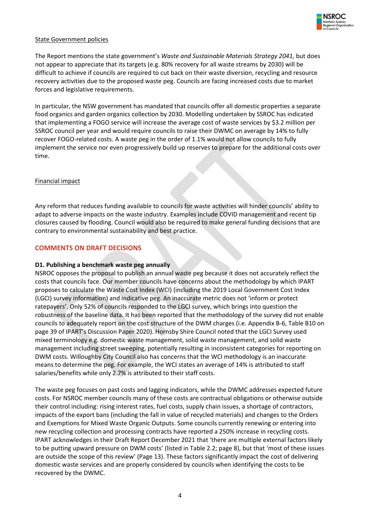

#### State Government policies

The Report mentions the state government's *Waste and Sustainable Materials Strategy 2041,* but does not appear to appreciate that its targets (e.g. 80% recovery for all waste streams by 2030) will be difficult to achieve if councils are required to cut back on their waste diversion, recycling and resource recovery activities due to the proposed waste peg. Councils are facing increased costs due to market forces and legislative requirements.

In particular, the NSW government has mandated that councils offer all domestic properties a separate food organics and garden organics collection by 2030. Modelling undertaken by SSROC has indicated that implementing a FOGO service will increase the average cost of waste services by \$3.2 million per SSROC council per year and would require councils to raise their DWMC on average by 14% to fully recover FOGO-related costs. A waste peg in the order of 1.1% would not allow councils to fully implement the service nor even progressively build up reserves to prepare for the additional costs over time.

#### Financial impact

Any reform that reduces funding available to councils for waste activities will hinder councils' ability to adapt to adverse impacts on the waste industry. Examples include COVID management and recent tip closures caused by flooding. Council would also be required to make general funding decisions that are contrary to environmental sustainability and best practice.

#### **COMMENTS ON DRAFT DECISIONS**

#### **D1. Publishing a benchmark waste peg annually**

NSROC opposes the proposal to publish an annual waste peg because it does not accurately reflect the costs that councils face. Our member councils have concerns about the methodology by which IPART proposes to calculate the Waste Cost Index (WCI) (including the 2019 Local Government Cost Index (LGCI) survey information) and indicative peg. An inaccurate metric does not 'inform or protect ratepayers'. Only 52% of councils responded to the LGCI survey, which brings into question the robustness of the baseline data. It has been reported that the methodology of the survey did not enable councils to adequately report on the cost structure of the DWM charges (i.e. Appendix B-6, Table B10 on page 39 of IPART's Discussion Paper 2020). Hornsby Shire Council noted that the LGCI Survey used mixed terminology e.g. domestic waste management, solid waste management, and solid waste management including street sweeping, potentially resulting in inconsistent categories for reporting on DWM costs. Willoughby City Council also has concerns that the WCI methodology is an inaccurate means to determine the peg. For example, the WCI states an average of 14% is attributed to staff salaries/benefits while only 2.7% is attributed to their staff costs.

The waste peg focuses on past costs and lagging indicators, while the DWMC addresses expected future costs. For NSROC member councils many of these costs are contractual obligations or otherwise outside their control including: rising interest rates, fuel costs, supply chain issues, a shortage of contractors, impacts of the export bans (including the fall in value of recycled materials) and changes to the Orders and Exemptions for Mixed Waste Organic Outputs. Some councils currently renewing or entering into new recycling collection and processing contracts have reported a 250% increase in recycling costs. IPART acknowledges in their Draft Report December 2021 that 'there are multiple external factors likely to be putting upward pressure on DWM costs' (listed in Table 2.2; page 8), but that 'most of these issues are outside the scope of this review' (Page 13). These factors significantly impact the cost of delivering domestic waste services and are properly considered by councils when identifying the costs to be recovered by the DWMC.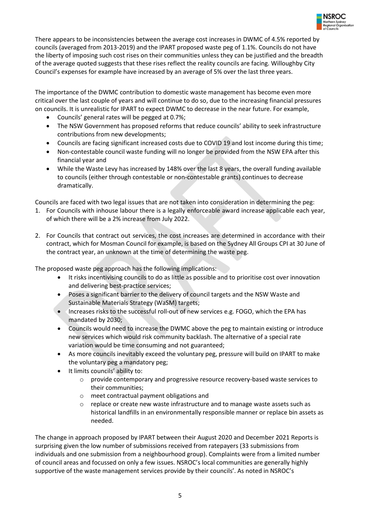

There appears to be inconsistencies between the average cost increases in DWMC of 4.5% reported by councils (averaged from 2013-2019) and the IPART proposed waste peg of 1.1%. Councils do not have the liberty of imposing such cost rises on their communities unless they can be justified and the breadth of the average quoted suggests that these rises reflect the reality councils are facing. Willoughby City Council's expenses for example have increased by an average of 5% over the last three years.

The importance of the DWMC contribution to domestic waste management has become even more critical over the last couple of years and will continue to do so, due to the increasing financial pressures on councils. It is unrealistic for IPART to expect DWMC to decrease in the near future. For example,

- Councils' general rates will be pegged at 0.7%;
- The NSW Government has proposed reforms that reduce councils' ability to seek infrastructure contributions from new developments;
- Councils are facing significant increased costs due to COVID 19 and lost income during this time;
- Non-contestable council waste funding will no longer be provided from the NSW EPA after this financial year and
- While the Waste Levy has increased by 148% over the last 8 years, the overall funding available to councils (either through contestable or non-contestable grants) continues to decrease dramatically.

Councils are faced with two legal issues that are not taken into consideration in determining the peg:

- 1. For Councils with inhouse labour there is a legally enforceable award increase applicable each year, of which there will be a 2% increase from July 2022.
- 2. For Councils that contract out services, the cost increases are determined in accordance with their contract, which for Mosman Council for example, is based on the Sydney All Groups CPI at 30 June of the contract year, an unknown at the time of determining the waste peg.

The proposed waste peg approach has the following implications:

- It risks incentivising councils to do as little as possible and to prioritise cost over innovation and delivering best-practice services;
- Poses a significant barrier to the delivery of council targets and the NSW Waste and Sustainable Materials Strategy (WaSM) targets;
- Increases risks to the successful roll-out of new services e.g. FOGO, which the EPA has mandated by 2030;
- Councils would need to increase the DWMC above the peg to maintain existing or introduce new services which would risk community backlash. The alternative of a special rate variation would be time consuming and not guaranteed;
- As more councils inevitably exceed the voluntary peg, pressure will build on IPART to make the voluntary peg a mandatory peg;
- It limits councils' ability to:
	- o provide contemporary and progressive resource recovery-based waste services to their communities;
	- o meet contractual payment obligations and
	- o replace or create new waste infrastructure and to manage waste assets such as historical landfills in an environmentally responsible manner or replace bin assets as needed.

The change in approach proposed by IPART between their August 2020 and December 2021 Reports is surprising given the low number of submissions received from ratepayers (33 submissions from individuals and one submission from a neighbourhood group). Complaints were from a limited number of council areas and focussed on only a few issues. NSROC's local communities are generally highly supportive of the waste management services provide by their councils'. As noted in NSROC's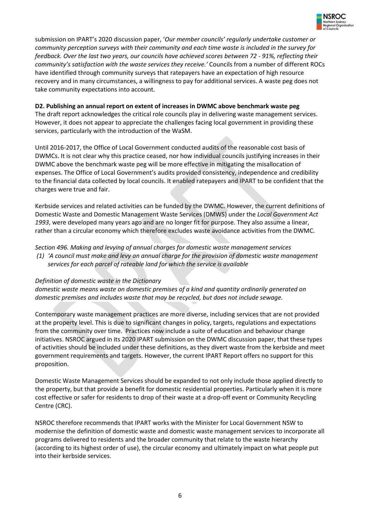

submission on IPART's 2020 discussion paper, '*Our member councils' regularly undertake customer or community perception surveys with their community and each time waste is included in the survey for feedback. Over the last two years, our councils have achieved scores between 72 - 91%, reflecting their community's satisfaction with the waste services they receive.'* Councils from a number of different ROCs have identified through community surveys that ratepayers have an expectation of high resource recovery and in many circumstances, a willingness to pay for additional services. A waste peg does not take community expectations into account.

## **D2. Publishing an annual report on extent of increases in DWMC above benchmark waste peg**

The draft report acknowledges the critical role councils play in delivering waste management services. However, it does not appear to appreciate the challenges facing local government in providing these services, particularly with the introduction of the WaSM.

Until 2016-2017, the Office of Local Government conducted audits of the reasonable cost basis of DWMCs. It is not clear why this practice ceased, nor how individual councils justifying increases in their DWMC above the benchmark waste peg will be more effective in mitigating the misallocation of expenses. The Office of Local Government's audits provided consistency, independence and credibility to the financial data collected by local councils. It enabled ratepayers and IPART to be confident that the charges were true and fair.

Kerbside services and related activities can be funded by the DWMC. However, the current definitions of Domestic Waste and Domestic Management Waste Services (DMWS) under the *Local Government Act 1993*, were developed many years ago and are no longer fit for purpose. They also assume a linear, rather than a circular economy which therefore excludes waste avoidance activities from the DWMC.

*Section 496. Making and levying of annual charges for domestic waste management services (1) 'A council must make and levy an annual charge for the provision of domestic waste management services for each parcel of rateable land for which the service is available*

#### *Definition of domestic waste in the Dictionary*

*domestic waste means waste on domestic premises of a kind and quantity ordinarily generated on domestic premises and includes waste that may be recycled, but does not include sewage.*

Contemporary waste management practices are more diverse, including services that are not provided at the property level. This is due to significant changes in policy, targets, regulations and expectations from the community over time. Practices now include a suite of education and behaviour change initiatives. NSROC argued in its 2020 IPART submission on the DWMC discussion paper, that these types of activities should be included under these definitions, as they divert waste from the kerbside and meet government requirements and targets. However, the current IPART Report offers no support for this proposition.

Domestic Waste Management Services should be expanded to not only include those applied directly to the property, but that provide a benefit for domestic residential properties. Particularly when it is more cost effective or safer for residents to drop of their waste at a drop-off event or Community Recycling Centre (CRC).

NSROC therefore recommends that IPART works with the Minister for Local Government NSW to modernise the definition of domestic waste and domestic waste management services to incorporate all programs delivered to residents and the broader community that relate to the waste hierarchy (according to its highest order of use), the circular economy and ultimately impact on what people put into their kerbside services.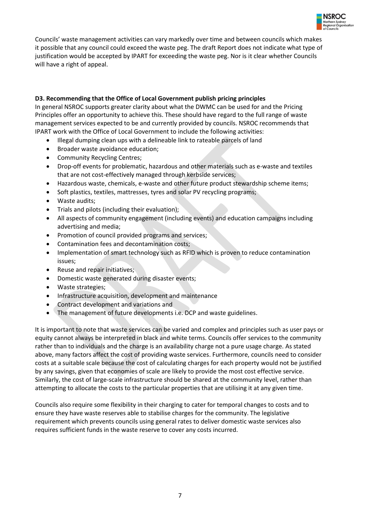

Councils' waste management activities can vary markedly over time and between councils which makes it possible that any council could exceed the waste peg. The draft Report does not indicate what type of justification would be accepted by IPART for exceeding the waste peg. Nor is it clear whether Councils will have a right of appeal.

## **D3. Recommending that the Office of Local Government publish pricing principles**

In general NSROC supports greater clarity about what the DWMC can be used for and the Pricing Principles offer an opportunity to achieve this. These should have regard to the full range of waste management services expected to be and currently provided by councils. NSROC recommends that IPART work with the Office of Local Government to include the following activities:

- Illegal dumping clean ups with a delineable link to rateable parcels of land
- Broader waste avoidance education;
- Community Recycling Centres;
- Drop-off events for problematic, hazardous and other materials such as e-waste and textiles that are not cost-effectively managed through kerbside services;
- Hazardous waste, chemicals, e-waste and other future product stewardship scheme items;
- Soft plastics, textiles, mattresses, tyres and solar PV recycling programs;
- Waste audits;
- Trials and pilots (including their evaluation);
- All aspects of community engagement (including events) and education campaigns including advertising and media;
- Promotion of council provided programs and services;
- Contamination fees and decontamination costs;
- Implementation of smart technology such as RFID which is proven to reduce contamination issues;
- Reuse and repair initiatives;
- Domestic waste generated during disaster events;
- Waste strategies;
- Infrastructure acquisition, development and maintenance
- Contract development and variations and
- The management of future developments i.e. DCP and waste guidelines.

It is important to note that waste services can be varied and complex and principles such as user pays or equity cannot always be interpreted in black and white terms. Councils offer services to the community rather than to individuals and the charge is an availability charge not a pure usage charge. As stated above, many factors affect the cost of providing waste services. Furthermore, councils need to consider costs at a suitable scale because the cost of calculating charges for each property would not be justified by any savings, given that economies of scale are likely to provide the most cost effective service. Similarly, the cost of large-scale infrastructure should be shared at the community level, rather than attempting to allocate the costs to the particular properties that are utilising it at any given time.

Councils also require some flexibility in their charging to cater for temporal changes to costs and to ensure they have waste reserves able to stabilise charges for the community. The legislative requirement which prevents councils using general rates to deliver domestic waste services also requires sufficient funds in the waste reserve to cover any costs incurred.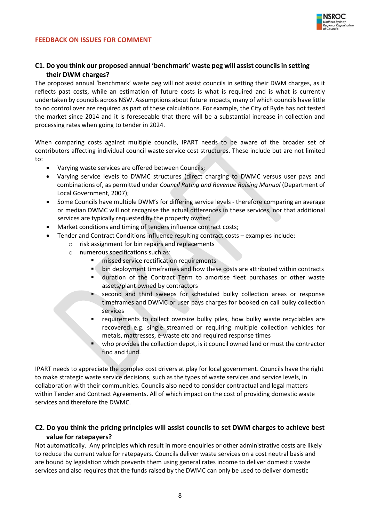

## **C1. Do you think our proposed annual 'benchmark' waste peg will assist councils in setting their DWM charges?**

The proposed annual 'benchmark' waste peg will not assist councils in setting their DWM charges, as it reflects past costs, while an estimation of future costs is what is required and is what is currently undertaken by councils across NSW. Assumptions about future impacts, many of which councils have little to no control over are required as part of these calculations. For example, the City of Ryde has not tested the market since 2014 and it is foreseeable that there will be a substantial increase in collection and processing rates when going to tender in 2024.

When comparing costs against multiple councils, IPART needs to be aware of the broader set of contributors affecting individual council waste service cost structures. These include but are not limited to:

- Varying waste services are offered between Councils;
- Varying service levels to DWMC structures (direct charging to DWMC versus user pays and combinations of, as permitted under *Council Rating and Revenue Raising Manual* (Department of Local Government, 2007);
- Some Councils have multiple DWM's for differing service levels therefore comparing an average or median DWMC will not recognise the actual differences in these services, nor that additional services are typically requested by the property owner;
- Market conditions and timing of tenders influence contract costs;
- Tender and Contract Conditions influence resulting contract costs examples include:
	- o risk assignment for bin repairs and replacements
	- o numerous specifications such as:
		- missed service rectification requirements
		- bin deployment timeframes and how these costs are attributed within contracts
		- duration of the Contract Term to amortise fleet purchases or other waste assets/plant owned by contractors
		- second and third sweeps for scheduled bulky collection areas or response timeframes and DWMC or user pays charges for booked on call bulky collection services
		- requirements to collect oversize bulky piles, how bulky waste recyclables are recovered e.g. single streamed or requiring multiple collection vehicles for metals, mattresses, e-waste etc and required response times
		- who provides the collection depot, is it council owned land or must the contractor find and fund.

IPART needs to appreciate the complex cost drivers at play for local government. Councils have the right to make strategic waste service decisions, such as the types of waste services and service levels, in collaboration with their communities. Councils also need to consider contractual and legal matters within Tender and Contract Agreements. All of which impact on the cost of providing domestic waste services and therefore the DWMC.

## **C2. Do you think the pricing principles will assist councils to set DWM charges to achieve best value for ratepayers?**

Not automatically. Any principles which result in more enquiries or other administrative costs are likely to reduce the current value for ratepayers. Councils deliver waste services on a cost neutral basis and are bound by legislation which prevents them using general rates income to deliver domestic waste services and also requires that the funds raised by the DWMC can only be used to deliver domestic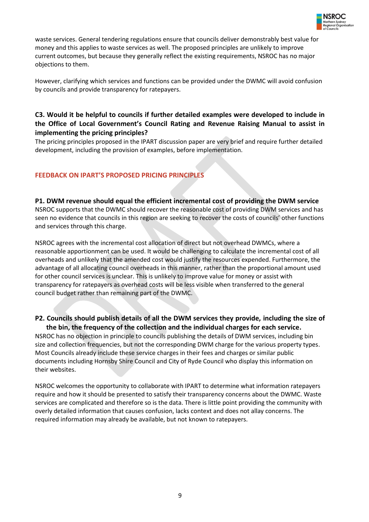

waste services. General tendering regulations ensure that councils deliver demonstrably best value for money and this applies to waste services as well. The proposed principles are unlikely to improve current outcomes, but because they generally reflect the existing requirements, NSROC has no major objections to them.

However, clarifying which services and functions can be provided under the DWMC will avoid confusion by councils and provide transparency for ratepayers.

# **C3. Would it be helpful to councils if further detailed examples were developed to include in the Office of Local Government's Council Rating and Revenue Raising Manual to assist in implementing the pricing principles?**

The pricing principles proposed in the IPART discussion paper are very brief and require further detailed development, including the provision of examples, before implementation.

## **FEEDBACK ON IPART'S PROPOSED PRICING PRINCIPLES**

## **P1. DWM revenue should equal the efficient incremental cost of providing the DWM service** NSROC supports that the DWMC should recover the reasonable cost of providing DWM services and has seen no evidence that councils in this region are seeking to recover the costs of councils' other functions and services through this charge.

NSROC agrees with the incremental cost allocation of direct but not overhead DWMCs, where a reasonable apportionment can be used. It would be challenging to calculate the incremental cost of all overheads and unlikely that the amended cost would justify the resources expended. Furthermore, the advantage of all allocating council overheads in this manner, rather than the proportional amount used for other council services is unclear. This is unlikely to improve value for money or assist with transparency for ratepayers as overhead costs will be less visible when transferred to the general council budget rather than remaining part of the DWMC.

# **P2. Councils should publish details of all the DWM services they provide, including the size of the bin, the frequency of the collection and the individual charges for each service.**

NSROC has no objection in principle to councils publishing the details of DWM services, including bin size and collection frequencies, but not the corresponding DWM charge for the various property types. Most Councils already include these service charges in their fees and charges or similar public documents including Hornsby Shire Council and City of Ryde Council who display this information on their websites.

NSROC welcomes the opportunity to collaborate with IPART to determine what information ratepayers require and how it should be presented to satisfy their transparency concerns about the DWMC. Waste services are complicated and therefore so is the data. There is little point providing the community with overly detailed information that causes confusion, lacks context and does not allay concerns. The required information may already be available, but not known to ratepayers.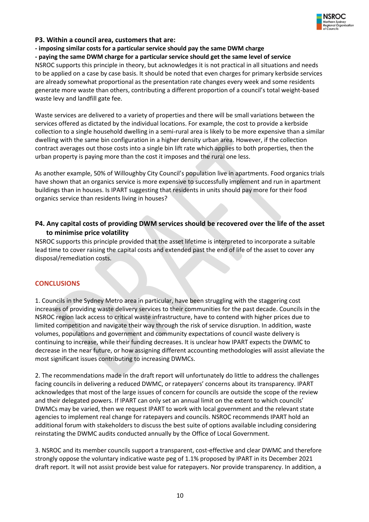

## **P3. Within a council area, customers that are:**

**- imposing similar costs for a particular service should pay the same DWM charge** 

#### **- paying the same DWM charge for a particular service should get the same level of service**

NSROC supports this principle in theory, but acknowledges it is not practical in all situations and needs to be applied on a case by case basis. It should be noted that even charges for primary kerbside services are already somewhat proportional as the presentation rate changes every week and some residents generate more waste than others, contributing a different proportion of a council's total weight-based waste levy and landfill gate fee.

Waste services are delivered to a variety of properties and there will be small variations between the services offered as dictated by the individual locations. For example, the cost to provide a kerbside collection to a single household dwelling in a semi-rural area is likely to be more expensive than a similar dwelling with the same bin configuration in a higher density urban area. However, if the collection contract averages out those costs into a single bin lift rate which applies to both properties, then the urban property is paying more than the cost it imposes and the rural one less.

As another example, 50% of Willoughby City Council's population live in apartments. Food organics trials have shown that an organics service is more expensive to successfully implement and run in apartment buildings than in houses. Is IPART suggesting that residents in units should pay more for their food organics service than residents living in houses?

## **P4. Any capital costs of providing DWM services should be recovered over the life of the asset to minimise price volatility**

NSROC supports this principle provided that the asset lifetime is interpreted to incorporate a suitable lead time to cover raising the capital costs and extended past the end of life of the asset to cover any disposal/remediation costs.

## **CONCLUSIONS**

1. Councils in the Sydney Metro area in particular, have been struggling with the staggering cost increases of providing waste delivery services to their communities for the past decade. Councils in the NSROC region lack access to critical waste infrastructure, have to contend with higher prices due to limited competition and navigate their way through the risk of service disruption. In addition, waste volumes, populations and government and community expectations of council waste delivery is continuing to increase, while their funding decreases. It is unclear how IPART expects the DWMC to decrease in the near future, or how assigning different accounting methodologies will assist alleviate the most significant issues contributing to increasing DWMCs.

2. The recommendations made in the draft report will unfortunately do little to address the challenges facing councils in delivering a reduced DWMC, or ratepayers' concerns about its transparency. IPART acknowledges that most of the large issues of concern for councils are outside the scope of the review and their delegated powers. If IPART can only set an annual limit on the extent to which councils' DWMCs may be varied, then we request IPART to work with local government and the relevant state agencies to implement real change for ratepayers and councils. NSROC recommends IPART hold an additional forum with stakeholders to discuss the best suite of options available including considering reinstating the DWMC audits conducted annually by the Office of Local Government.

3. NSROC and its member councils support a transparent, cost-effective and clear DWMC and therefore strongly oppose the voluntary indicative waste peg of 1.1% proposed by IPART in its December 2021 draft report. It will not assist provide best value for ratepayers. Nor provide transparency. In addition, a